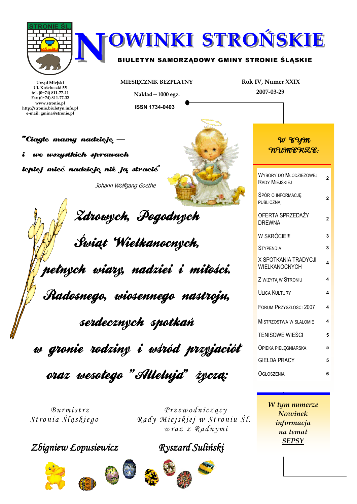

MIESIĘCZNIK BEZPŁATNY

Nakład-1000 egz.

**ISSN 1734-0403** 

Urzad Miejski Ul. Kościuszki 55 tel.  $(0~74)$  811-77-11 Fax (0~74) 811-77-32 www.stronie.pl http://stronie.biuletyn.info.pl e-mail: gmina@stronie.pl

**"Ciagle mamy nadzieję** we wszystkich sprawach i lepiej mieć nadzieje niż ją stracić" Johann Wolfgang Goethe



Zdrowych, Pogodnych Świąt Wielkanocnych, pełnych wiary, nadziei i miłości. Radosnego, wiosennego nastrojn, serdecznych spotkań w gronie rodziny i wśród przyjaciół

oraz wesołego "Allelnja" życzą:

 $Burnistrz$ Stronia Śląskiego

Zbigniew Łopusiewicz









Ryszard Suliński

 $P$ rzewodniczący

 $wraz z Radnym i$ 

Rady Miejskiej w Stroniu Śl.

W tym numerze Nowinek informacia na temat **SEPSY** 

# W EYM WUMERZE:

Rok IV, Numer XXIX

2007-03-29

| WYBORY DO MŁODZIEŻOWEJ<br><b>RADY MIEJSKIEJ</b> | 2              |
|-------------------------------------------------|----------------|
| SPÓR O INFORMACJĘ<br><b>PUBLICZNA</b>           | 2              |
| OFERTA SPRZEDAŻY<br><b>DREWNA</b>               | $\overline{2}$ |
| W SKRÓCIE!!!                                    | 3              |
| <b>STYPENDIA</b>                                | 3              |
| X SPOTKANIA TRADYCJI<br>WIELKANOCNYCH           | 4              |
| Z WIZYTA W STRONIU                              | 4              |
| <b>ULICA KULTURY</b>                            | 4              |
| FORUM PRZYSZŁOŚCI 2007                          | 4              |
| <b>MISTRZOSTWA W SLALOMIE</b>                   | 4              |
| TENISOWE WIEŚCI                                 | 5              |
| <b>OPIEKA PIELEGNIARSKA</b>                     | 5              |
| <b>GIEŁDA PRACY</b>                             | 5              |
| OGŁOSZENIA                                      | 6              |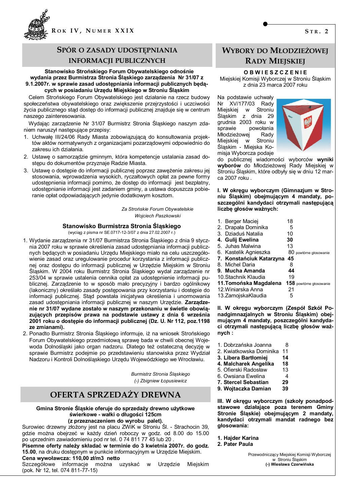

## SPÓR O ZASADY UDOSTEPNIANIA **INFORMACJI PUBLICZNYCH**

#### Stanowisko Strońskiego Forum Obywatelskiego odnośnie wydania przez Burmistrza Stronia Śląskiego zarządzenia Nr 31/07 z 9.1.2007r. w sprawie zasad udostepniania informacji publicznych bedacych w posiadaniu Urzędu Miejskiego w Stroniu Śląskim

Celem Strońskiego Forum Obywatelskiego jest działanie na rzecz budowy społeczeństwa obywatelskiego oraz zwiększenie przejrzystości i uczciwości życia publicznego stąd dostęp do informacji publicznej znajduje się w centrum naszego zainteresowania.

Wydając zarządzenie Nr 31/07 Burmistrz Stronia Śląskiego naszym zdaniem naruszył następujące przepisy:

- 1. Uchwałę III/24/06 Rady Miasta zobowiązującą do konsultowania projektów aktów normatywnych z organizaciami pozarzadowymi odpowiednio do zakresu ich działania.
- 2. Ustawę o samorządzie gminnym, która kompetencje ustalania zasad dostępu do dokumentów przyznaje Radzie Miasta.
- 3. Ustawę o dostępie do informacji publicznej poprzez zawężenie zakresu jej stosowania, wprowadzenia wysokich, ryczałtowych opłat za pewne formy udostępnienia informacji pomimo, że dostęp do informacji jest bezpłatny, udostępnianie informacji jest zadaniem gminy, a ustawa dopuszcza pobieranie opłat odpowiadających jedynie dodatkowym kosztom.

Za Strońskie Forum Obywatelskie Wojciech Paszkowski

### Stanowisko Burmistrza Stronia Śląskiego

(wyciąg z pisma nr SE.0717-12-3/07 z dnia 27.02.2007 r.)

- 1. Wydanie zarządzenia nr 31/07 Burmistrzą Stronią Śląskiego z dnią 9 stycznia 2007 roku w sprawie określenia zasad udostępniania informacji publicznych bedacych w posiadaniu Urzedu Miejskiego miało na celu uszczegółowienie zasad oraz uregulowanie procedur korzystania z informacji publicznej oraz dostępu do informacji publicznej w Urzędzie Miejskim w Stroniu Śląskim. W 2004 roku Burmistrz Stronia Śląskiego wydał zarządzenie nr 253/04 w sprawie ustalenia cennika opłat za udostępnienie informacji publicznej. Zarządzenie to w sposób mało precyzyjny i bardzo ogólnikowy (lakoniczny) określało zasady postępowania przy korzystaniu i dostępie do informacji publicznej. Stąd powstała inicjatywa określenia i unormowania zasad udostępniania informacji publicznej w naszym Urzędzie. Zarządzenie nr 31/07 wydane zostało w naszym przekonaniu w świetle obowiązujących przepisów prawa na podstawie ustawy z dnia 6 września 2001 roku o dostępie do informacji publicznej (Dz. U. Nr 112, poz.1198 ze zmianami).
- 2. Ponadto Burmistrz Stronia Śląskiego informuje, iż na wniosek Strońskiego Forum Obywatelskiego przedmiotową sprawę bada w chwili obecnej Wojewoda Dolnośląski jako organ nadzoru. Dlatego też ostateczną decyzję w sprawie Burmistrz podejmie po przedstawieniu stanowiska przez Wydział Nadzoru i Kontroli Dolnoślaskiego Urzedu Wojewódzkiego we Wrocławiu.

Burmistrz Stronia Śląskiego (-) Zbianiew Łopusiewicz

## OFERTA SPRZEDAŻY DREWNA

#### Gmina Stronie Śląskie oferuje do sprzedaży drewno użytkowe świerkowe - wałki o długości 125cm (z przeznaczeniem do wyrobu palet).

Surowiec drzewny złożony jest na placu ZWiK w Stroniu Śl. - Strachocin 39, gdzie można obejrzeć w każdy dzień roboczy w godz. od 8.00 do 15.00 po uprzednim zawiadomieniu pod nr tel. 0 74 811 77 45 lub 20

Pisemne oferty należy składać w terminie do 3 kwietnia 2007r. do godz. 15.00, na druku dostepnym w punkcie informacyjnym w Urzedzie Miejskim. Cena wywoławcza: 110,00 zł/m3 netto

Szczegółowe informacje można uzyskać w Urzędzie Miejskim (pok. Nr 12. tel. 074 811-77-15)

## **WYBORY DO MŁODZIEŻOWEI RADY MIEJSKIEJ**

#### **OBWIESZCZENIE**

Miejskiej Komisji Wyborczej w Stroniu Śląskim z dnia 23 marca 2007 roku

Na podstawie uchwały Nr XV/177/03 Radv Miejskiej w Stroniu **Śląskim** z dnia 29 grudnia 2003 roku w powołania sprawie Młodzieżowej Rady Miejskiej W Stroniu Śląskim - Miejska Komisja Wyborcza podaje



do publicznej wiadomości wyborców wyniki wyborów do Młodzieżowej Rady Miejskiej w Stroniu Śląskim, które odbyły się w dniu 12 marca 2007 roku.

I. W okregu wyborczym (Gimnazium w Stroniu Ślaskim) obeimującym 4 mandaty, poszczególni kandydaci otrzymali następującą liczbę głosów ważnych:

| 1. Berger Maciej                               | 18 |                        |
|------------------------------------------------|----|------------------------|
| 2. Drapała Dominika                            | 5  |                        |
| 3. Dziaduś Natalia                             | 10 |                        |
| 4.  Gulij Ewelina                              | 30 |                        |
| 5. Juhas Malwina                               | 13 |                        |
| 6. Kastelik Agnieszka                          |    | 80 powtórne głosowanie |
| 7. Konstańciuk Katarzyna                       | 45 |                        |
| 8. Michel Daria                                | 8  |                        |
| 9. Mucha Amanda                                | 44 |                        |
| 10.Stachnik Klaudia                            | 19 |                        |
| 11. Tomońska Magdalena 158 powtórne głosowanie |    |                        |
| 12. Winiarska Anna                             | 21 |                        |
| 13.ZamojskaKlaudia                             | 5  |                        |
|                                                |    |                        |

II. W okręgu wyborczym (Zespół Szkół Ponadgimnazjalnych w Stroniu Śląskim) obejmującym 4 mandaty, poszczególni kandydaci otrzymali następującą liczbę głosów waż $n$ vch:

- 1 Dobrzańska Joanna  $\mathsf{R}$
- 2. Kwiatkowska Dominika 11
- 3. Libera Bartłomiej  $14$
- 4. Malcharek Angelika 18
- 5. Ofierski Radosław  $13$
- 6. Owsiana Ewelina  $\overline{\mathbf{A}}$
- 29 **7. Stercel Sebastian**
- 9. Wojtaczka Damian 39

III. W okręgu wyborczym (szkoły ponadpodstawowe działające poza terenem Gminy Stronie Śląskie) obejmującym 2 mandaty, kandydaci otrzymali mandat radnego bez głosowania:

- 1. Haider Karina
- 2. Pater Paula

Przewodniczący Miejskiej Komisji Wyborczej w Stroniu Śląskim (-) Wiesława Czerwińska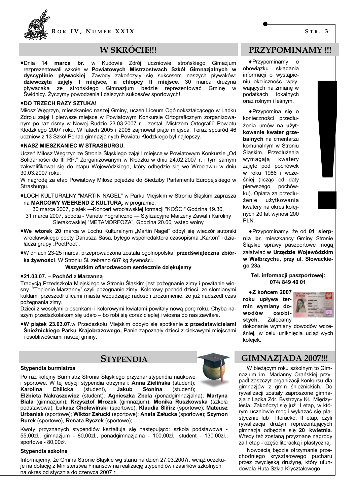

# W SKRÓCIE!!!

Kudowie Zdrój uczniowie strońskiego Gimazjum marca br. w  $\bullet$ Dnia 14 rezprezentowali szkołe w Powiatowych Mistrzostwach Szkół Gimnazjalnych w dyscyplinie pływackiej. Zawody zakończyły się sukcesem naszych pływaków: dziewczęta zajęły I miejsce, a chłopcy II miejsce. 30 marca drużyna pływacaka ze strońskiego Gimnazjum będzie reprezentować Gminę w Świdnicy. Życzymy powodzenia i dalszych sukcesów sportowych!

#### .DO TRZECH RAZY SZTUKA!

Miłosz Węgrzyn, mieszkaniec naszej Gminy, uczeń Liceum Ogólnokształcącego w Lądku Zdroju zajął I pierwsze miejsce w Powiatowym Konkursie Ortograficznym zorganizowanym po raz ósmy w Nowej Rudzie 23.03.2007 r. i został "Mistrzem Ortografii" Powiatu Kłodzkiego 2007 roku. W latach 2005 i 2006 zajmował piąte miejsca. Teraz spośród 46 uczniów z 13 Szkół Ponad gimnazjalnych Powiatu Kłodzkiego był najlepszy.

#### .NASZ MIESZKANIEC W STRASBURGU.

Uczeń Miłosz Wegrzyn ze Stronia Śląskiego zajął I miejsce w Powiatowym Konkursie "Od Solidarności do III RP." Zorganizowanym w Kłodzku w dniu 24.02.2007 r. i tym samym zakwalifikował się do etapu Wojewódzkiego, który odbędzie się we Wrocławiu w dniu 30.03.2007 roku.

W nagrodę za etap Powiatowy Miłosz pojedzie do Siedziby Parlamentu Europejskiego w Strasburgu.

.LOCH KULTURALNY "MARTIN NAGEL" w Parku Miejskim w Stroniu Śląskim zaprasza na MARCOWY WEEKEND Z KULTURA, w programie:

30 marca 2007, piątek - Koncert wrocławskiej formacji "KOŚCI" Godzina 19.30,

- 31 marca 2007, sobota Variete Fograficzno Stylizacyjne Marzeny Zawal i Karoliny Sierakowskiej "METAMORFOZA", Godzina 20.00, wstęp wolny
- .We wtorek 20 marca w Lochu Kulturalnym "Martin Nagel" odbył się wieczór autorski wrocławskiego poety Dariusza Sasa, byłego współredaktora czasopisma "Karton" i działacza grupy "PoetPoet".
- ·W dniach 23-25 marca, przeprowadzona została ogólnopolska, przedświateczna zbiórka żywności. W Stroniu Śl. zebrano 687 kg żywności.

#### Wszystkim ofiarodawcom serdecznie dziękujemy

#### ●21.03.07. - Pochód z Marzanna

Tradycją Przedszkola Miejskiego w Stroniu Śląskim jest pożegnanie zimy i powitanie wiosny. "Topienie Marzanny" czyli pożegnanie zimy. Kolorowy pochód dzieci ze słomianymi kukłami przeszedł ulicami miasta wzbudzając radość i zrozumienie, że już nadszedł czas pożegnania zimy.

Dzieci z wesołymi piosenkami i kolorowymi kwiatami powitały nową porę roku. Chyba naszym przedszkolakom się udało – bo robi się coraz cieplej i wiosna do nas zawitała.

.W piątek 23.03.07.w Przedszkolu Miejskim odbyło się spotkanie z przedstawicielami Śnieżnickiego Parku Krajobrazowego, Panie zapoznały dzieci z ciekawymi miejscami i osobliwościami naszej gminy.

# **STYPENDIA**

### Stypendia burmistrza

Po raz kolejny Burmistrz Stronia Śląskiego przyznał stypendia naukowe i sportowe. W tej edycji stypendia otrzymali: Anna Zielińska (student); **Karolina** Chilicka (student), Jakub Słonina (student);

Elżbieta Nakraszewicz (student); Agnieszka Zbela (ponadgimnazjalna); Martyna Biała (gimnazjum); Krzysztof Mrozek (gimnazjum); Monika Ruszkowska (szkoła podstawowa); Łukasz Cholewiński (sportowe); Klaudia Ślifirz (sportowe); Mateusz Urbaniak (sportowe); Wiktor Załucki (sportowe); Aneta Załucka (sportowe); Szymon Burek (sportowe), Renata Ryczek (sportowe);

Kwoty przyznanych stypendiów kształtują się następująco: szkoła podstawowa -55,00zł., gimnazjum - 80,00zł., ponadgimnazjalna - 100,00zł., student - 130,00zł., sportowe - 80,00zł.

### Stypendia szkolne

Informujemy, że Gmina Stronie Śląskie wg stanu na dzień 27.03.2007r. wciąż oczekuje na dotację z Ministerstwa Finansów na realizację stypendiów i zasiłków szkolnych na okres od stycznia do czerwca 2007 r.

## **PRZYPOMINAMY !!!**

◆ Przypominamy  $\circ$ obowiązku składania informacji o wystąpieniu okoliczności wpływających na zmianę w podatkach lokalnych oraz rolnym i leśnym.

◆ Przypomina się o konieczności przedłużenia umów na użytkowanie kwater grzebalnych na cmentarzu komunalnym w Stroniu Ślaskim. Przedłużenia wymagają kwatery zajęte pod pochówek w roku 1986 i wcześniej (licząc od daty pierwszego pochówku). Opłata za przedłużenie użytkowania kwatery na okres koleinych 20 lat wynosi 200 PI<sub>N</sub>

◆ Przypominamy, że od 01 sierpnia br. mieszkańcy Gminy Stronie Śląskie sprawy paszportowe mogą załatwiać w Urzędzie Wojewódzkim w Wałbrzychu, przy ul. Słowackiego 23a.

Tel. informacji paszportowej: 074/849 40 01

◆Z końcem 2007 roku upływa termin wymiany dowodów osobistych. Zalecamy



dokonanie wymiany dowodów wcześniej, w celu uniknięcia uciążliwych kolejek.

## **GIMNAZJADA 2007!!!**

W bieżącym roku szkolnym to Gimnazjum im. Marianny Orańskiej przypadł zaszczyt organizacji konkursu dla gimnazjów z gmin śnieżnickich. Do rvwalizacii zostały zaproszone gimnazja z Lądka Zdr. Bystrzycy Kł., Międzylesia. Zakończył się już I etap, w którym uczniowie mogli wykazać się plastycznie lub literacko. II etap, czyli rywalizacja drużyn reprezentujących gimnazia odbedzie się 20 kwietnia. Wtedy też zostaną przyznane nagrody za I etap - część literacką i plastyczną.

Nowościa bedzie otrzymanie przechodniego kryształowego pucharu przez zwycięską drużynę, który ufundowała Huta Szkła Kryształowego

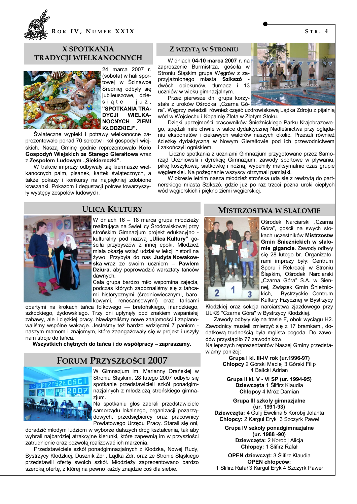

### **X SPOTKANIA TRADYCII WIELKANOCNYCH**



24 marca 2007 r. (sobota) w hali sportowej w Ścinawce Średniej odbyły się jubileuszowe, dziesiate już, "SPOTKANIA TRA-**DYCJI WIELKA-**NOCNYCH ZIEMI **KŁODZKIEJ".** 

Świąteczne wypieki i potrawy wielkanocne zaprezentowało ponad 70 sołectw i kół gospodyń wiejskich. Naszą Gminę godnie reprezentowało Koło Gospodyń Wiejskich ze Starego Gierałtowa wraz z Zespołem Ludowym "Siekiereczki".

W trakcie imprezy odbywały się kiermasze wielkanocnych palm, pisanek, kartek świątecznych, a także pokazy i konkursy na najpiekniej zdobione kraszanki. Pokazom i degustacji potraw towarzyszyły wystepy zespołów ludowych.

### **Z WIZYTA W STRONIU**

W dniach 04-10 marca 2007 r. na zaproszenie Burmistrza, gościła w Stroniu Śląskim grupa Węgrów z zaprzyjaźnionego miasta Szikszó dwóch opiekunów, tłumacz i 13 uczniów w wieku gimnazjalnym.

Przez pierwsze dni grupa korzystała z uroków Ośrodka "Czarna Gó-

ra". Węgrzy zwiedzili również część uzdrowiskową Lądka Zdroju z pijalnią wód w Wojciechu i Kopalnię Złota w Złotym Stoku.

Dzieki uprzejmości pracowników Śnieżnickiego Parku Krajobrazowego, spedzili miłe chwile w salce dydaktycznej Nadleśnictwa przy oglądaniu eksponatów i ciekawych walorów naszych okolic. Przeszli również ścieżke dydaktyczna w Nowym Gierałtowie pod ich przewodnictwem i zakończyli ogniskiem.

Liczne spotkania z uczniami Gimnazjum przygotowane przez Samorząd Uczniowski i dyrekcję Gimnazjum, zawody sportowe w pływaniu, piłkę koszykową, siatkówkę i nożną, wypełniły maksymalnie czas grupie węgierskiej. Na pożegnanie wszyscy otrzymali pamiątki.

W okresie letnim nasza młodzież strońska uda się z rewizytą do partnerskiego miasta Szikszó, gdzie już po raz trzeci pozna uroki ciepłych wód węgierskich i piękno ziemi węgierskiej.



## **ULICA KULTURY**

W dniach 16 - 18 marca grupa młodzieży realizująca na Świetlicy Środowiskowej przy strońskim Gimnazjum projekt edukacyjno kulturalny pod nazwą "Ulica Kultury" gościła przybyszów z innej epoki. Młodzież miała okazję wziąć udział w lekcji historii na żywo. Przybyła do nas Judyta Nowakowska wraz ze swoim uczniem - Pawłem Dziura, aby poprowadzić warsztaty tańców dawnvch.

Cała grupa bardzo miło wspomina zajecia, podczas których zapoznaliśmy się z tańcami historycznymi (średniowiecznymi, barokowymi. renesansowymi) oraz tańcami

opartymi na krokach tańca folkowego - bretońskiego, irlandzkiego, szkockiego, żydowskiego. Trzy dni upłynęły pod znakiem wspaniałej zabawy, ale i ciężkiej pracy. Nawiązaliśmy nowe znajomości i zaplanowaliśmy wspólne wakacje. Jesteśmy też bardzo wdzieczni 7 paniom naszym mamom i znajomym, które zaangażowały się w projekt i uszyły nam stroje do tańca.

Wszystkich chętnych do tańca i do współpracy – zapraszamy.

### **FORUM PRZYSZŁOŚCI 2007**



W Gimnazium im. Marianny Orańskiei w Stroniu Śląskim, 28 lutego 2007 odbyło się spotkanie przedstawicieli szkół ponadgimnazjalnych z młodzieżą strońskiego gimnazium.

Na spotkaniu głos zabrali przedstawiciele samorządu lokalnego, organizacji pozarządowych, przedsiębiorcy oraz pracownicy Powiatowego Urzedu Pracy. Starali sie oni.

doradzić młodym ludziom w wyborze dalszych dróg kształcenia, tak aby wybrali najbardziej atrakcyjne kierunki, które zapewnią im w przyszłości zatrudnienie oraz pozwolą realizować ich marzenia.

Przedstawiciele szkół ponadgimnazialnych z Kłodzka. Nowej Rudy. Bystrzycy Kłodzkiej, Dusznik Zdr., Lądka Zdr. oraz ze Stronie Śląskiego przedstawili oferte swoich szkół. Młodzieży zaprezentowano bardzo szeroka oferte, z której na pewno każdy znajdzie coś dla siebie.

### **MISTRZOSTWA W SLALOMIE**



Ośrodek Narciarski "Czarna Góra", gościł na swych stokach uczestników Mistrzostw Gmin Śnieżnickich w slalomie gigancie. Zawody odbyły sie 28 lutego br. Organizatorami imprezy były: Centrum Sporu i Rekreacii w Stroniu Ślaskim, Ośrodek Narciarski "Czarna Góra" S.A. w Siennej, Związek Gmin Śnieżnic-Bystrzyckie Centrum kich. Kultury Fizycznej w Bystrzycy

Kłodzkiej oraz sekcja narciarstwa zjazdowego przy ULKS "Czarna Góra" w Bystrzycy Kłodzkiej.

Zawody odbyły się na trasie F, obok wyciągu H2. Zawodnicy musieli zmierzyć się z 17 bramkami, dodatkowa trudnościa była mglista pogoda. Do zawodów przystapiło 77 zawodników.

Najlepszych reprezentantów Naszej Gminy przedstawiamy poniżej:

Grupa | kl. III-IV rok (ur.1996-97) Chłopcy 2 Górski Maciej 3 Górski Filip 4 Balicki Adrian

Grupa II kl. V - VI SP (ur. 1994-95) Dziewczeta 1 Ślifirz Klaudia Chłopcy 4 Mróz Damian

Grupa III szkoły gimnazjalne  $(ur. 1991-93)$ Dziewczeta: 4 Gulii Ewelina 5 Korobii Jolanta Chłopcy: 2 Kargul Eryk 3 Szczyrk Paweł

Grupa IV szkoły ponadgimnazjalne (ur. 1988 -90) Dziewczeta: 2 Korobij Alicja

Chłopcy: 1 Ślifirz Rafał **OPEN dziewcząt: 3 Ślifirz Klaudia** 

**OPEN chłopców:** 1 Slifirz Rafał 3 Kargul Eryk 4 Szczyrk Paweł

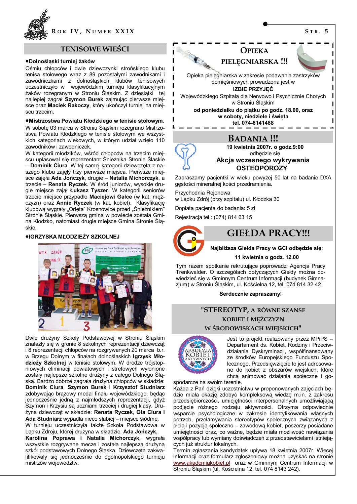

### **TENISOWE WIEŚCI**

### ·Dolnośląski turniej żaków

Ośmiu chłopców i dwie dziewczynki strońskiego klubu tenisa stołowego wraz z 89 pozostałymi zawodnikami i zawodniczkami z dolnośląskich klubów tenisowych<br>uczestniczyło w wojewódzkim turnieju klasyfikacyjnym żaków rozegranym w Stroniu Śląskim. Z dziesiątki tej najlepiej zagrał Szymon Burek zajmując pierwsze miejsce oraz Maciek Rakoczy, który ukończył turniej na miejscu trzecim.

### ·Mistrzostwa Powiatu Kłodzkiego w tenisie stołowym.

W sobote 03 marca w Stroniu Śląskim rozegrano Mistrzostwa Powiatu Kłodzkiego w tenisie stołowym we wszystkich kategoriach wiekowych, w którym udział wzięło 110 zawodników i zawodniczek.

W kategorii młodzików, wśród chłopców na trzecim miejscu uplasował się reprezentant Śnieżnika Stronie Ślaskie - Dominik Ciura. W tej samej kategorii dziewczęta z naszego klubu zajęły trzy pierwsze miejsca. Pierwsze miejsce zajeła Ada Jończyk, drugie - Natalia Michorczyk, a trzecie - Renata Ryczek. W śród juniorów, wysokie drugie miejsce zajął Łukasz Tyszer. W kategorii seniorów trzecie miejsce przypadło Maciejowi Gałce (w kat. mężczyzn) oraz Annie Ryczek (w kat. kobiet). Klasyfikację klubową wygrały "Orlęta" Krosnowice przed "Śnieżnikiem" Stronie Śląskie. Pierwszą gminą w powiecie została Gmina Kłodzko, natomiast drugie miejsce Gmina Stronie Śląskie.

### ●IGRZYSKA MŁODZIEŻY SZKOLNEJ



Dwie drużyny Szkoły Podstawowej w Stroniu Śląskim znalazły się w gronie 8 szkolnych reprezentacji dziewcząt i 8 reprezentacji chłopców na rozgrywanych 20 marca b.r. w Brzegu Dolnym w finałach dolnośląskich Igrzysk Młodzieży Szkolnej w tenisie stołowym. W drodze trójstopniowych eliminacji powiatowych i strefowych wyłonione zostały najlepsze szkolne drużyny z całego Dolnego Śląska. Bardzo dobrze zagrała drużyna chłopców w składzie: Dominik Ciura, Szymon Burek i Krzysztof Studniarz zdobywając brązowy medal finału wojewódzkiego, będąc jednocześnie jedną z najmłodszych reprezentacji, gdyż Szymon i Krzysiu są uczniami trzeciej i drugiej klasy. Drużyna dziewcząt w składzie: Renata Ryczek, Ola Ciura i Ada Studniarz wypadła nieco słabiej – miejsce siódme.

W turnieju uczestniczyła także Szkoła Podstawowa w Ladku Zdroju, której drużyna w składzie: Ada Jończyk,

Karolina Poprawa i Natalia Michorczyk, wygrała wszystkie rozgrywane mecze i została najlepszą drużyną szkół podstawowych Dolnego Śląska. Dziewczęta zakwalifikowały się jednocześnie do ogólnopolskiego turnieju mistrzów województw.



Zapraszamy pacjentki w wieku powyżej 50 lat na badanie DXA gęstości mineralnej kości przedramienia.

Przychodnia Rejonowa w Lądku Zdrój (przy szpitalu) ul. Kłodzka 30

Dopłata pacienta do badania: 5 zł

Rejestracja tel.: (074) 814 63 15

# **GIEŁDA PRACY!!!**

Najbliższa Giełda Pracy w GCI odbędzie się:

11 kwietnia o godz. 12.00

Tym razem spotkanie rekrutujące poprowadzi Agencja Pracy Trenkwalder. O szczegółach dotyczących Giełdy można dowiedzieć się w Gminnym Centrum Informacji (budynek Gimnazjum) w Stroniu Śląskim, ul. Kościelna 12, tel. 074 814 32 42

### Serdecznie zapraszamy!

## "STEREOTYP, A RÓWNE SZANSE KOBIET I MEŻCZYZN W ŚRODOWISKACH WIEJSKICH"



Jest to projekt realizowany przez MPiPS -Departament ds. Kobiet. Rodziny i Przeciwdziałania Dyskryminacji, współfinansowany ze środków Europejskiego Funduszu Społecznego. Przedsiewziecie to jest adresowane do kobiet z obszarów wiejskich, które chca animować działania społeczne i go-

spodarcze na swoim terenie.

Każda z Pań dzięki uczestnictwu w proponowanych zajęciach będzie miała okazję zdobyć kompleksową wiedzę m.in. z zakresu przedsiębiorczości, umiejętności interpersonalnych umożliwiającą podjęcie różnego rodzaju aktywności. Otrzyma odpowiednie wsparcie psychologiczne w zakresie identyfikowania własnych potrzeb, przełamywania stereotypów społecznych związanych z płcią i pozycją społeczno – zawodową kobiet, poszerzy posiadane umiejetności oraz, co ważne, bedzie miała możliwość nawiazania współpracy lub wymiany doświadczeń z przedstawicielami istniejących już struktur lokalnych.

Termin zgłaszania kandydatek upływa 18 kwietnia 2007r. Wiecej informacji oraz formularz zgłoszeniowy można uzyskać na stronie www.akademiakobiet.pl oraz w Gminnym Centrum Informacji w Stroniu Śląskim (ul. Kościelna 12, tel. 074 8143 242).

 $STR.5$